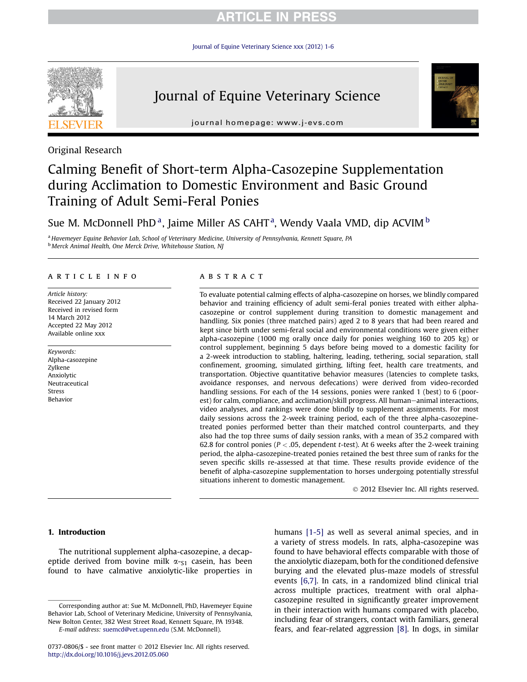# **ARTICLE IN PRESS**

Journal of Equine Veterinary Science xxx (2012) 1-6



# Journal of Equine Veterinary Science

journal homepage: www.j-evs.com



### Original Research

# Calming Benefit of Short-term Alpha-Casozepine Supplementation during Acclimation to Domestic Environment and Basic Ground Training of Adult Semi-Feral Ponies

Sue M. McDonnell PhD<sup>a</sup>, Jaime Miller AS CAHT<sup>a</sup>, Wendy Vaala VMD, dip ACVIM<sup>b</sup>

a Havemeyer Equine Behavior Lab, School of Veterinary Medicine, University of Pennsylvania, Kennett Square, PA **b** Merck Animal Health, One Merck Drive, Whitehouse Station, NJ

#### article info

Article history: Received 22 January 2012 Received in revised form 14 March 2012 Accepted 22 May 2012 Available online xxx

Keywords: Alpha-casozepine Zylkene Anxiolytic Neutraceutical Stress Behavior

#### **ABSTRACT**

To evaluate potential calming effects of alpha-casozepine on horses, we blindly compared behavior and training efficiency of adult semi-feral ponies treated with either alphacasozepine or control supplement during transition to domestic management and handling. Six ponies (three matched pairs) aged 2 to 8 years that had been reared and kept since birth under semi-feral social and environmental conditions were given either alpha-casozepine (1000 mg orally once daily for ponies weighing 160 to 205 kg) or control supplement, beginning 5 days before being moved to a domestic facility for a 2-week introduction to stabling, haltering, leading, tethering, social separation, stall confinement, grooming, simulated girthing, lifting feet, health care treatments, and transportation. Objective quantitative behavior measures (latencies to complete tasks, avoidance responses, and nervous defecations) were derived from video-recorded handling sessions. For each of the 14 sessions, ponies were ranked 1 (best) to 6 (poorest) for calm, compliance, and acclimation/skill progress. All human-animal interactions, video analyses, and rankings were done blindly to supplement assignments. For most daily sessions across the 2-week training period, each of the three alpha-casozepinetreated ponies performed better than their matched control counterparts, and they also had the top three sums of daily session ranks, with a mean of 35.2 compared with 62.8 for control ponies ( $P < .05$ , dependent t-test). At 6 weeks after the 2-week training period, the alpha-casozepine-treated ponies retained the best three sum of ranks for the seven specific skills re-assessed at that time. These results provide evidence of the benefit of alpha-casozepine supplementation to horses undergoing potentially stressful situations inherent to domestic management.

- 2012 Elsevier Inc. All rights reserved.

#### 1. Introduction

The nutritional supplement alpha-casozepine, a decapeptide derived from bovine milk  $\alpha$ -s<sub>1</sub> casein, has been found to have calmative anxiolytic-like properties in humans [1-5] as well as several animal species, and in a variety of stress models. In rats, alpha-casozepine was found to have behavioral effects comparable with those of the anxiolytic diazepam, both for the conditioned defensive burying and the elevated plus-maze models of stressful events [6,7]. In cats, in a randomized blind clinical trial across multiple practices, treatment with oral alphacasozepine resulted in significantly greater improvement in their interaction with humans compared with placebo, including fear of strangers, contact with familiars, general fears, and fear-related aggression [8]. In dogs, in similar

Corresponding author at: Sue M. McDonnell, PhD, Havemeyer Equine Behavior Lab, School of Veterinary Medicine, University of Pennsylvania, New Bolton Center, 382 West Street Road, Kennett Square, PA 19348.

E-mail address: suemcd@vet.upenn.edu (S.M. McDonnell).

<sup>0737-0806/\$ -</sup> see front matter © 2012 Elsevier Inc. All rights reserved. http://dx.doi.org/10.1016/j.jevs.2012.05.060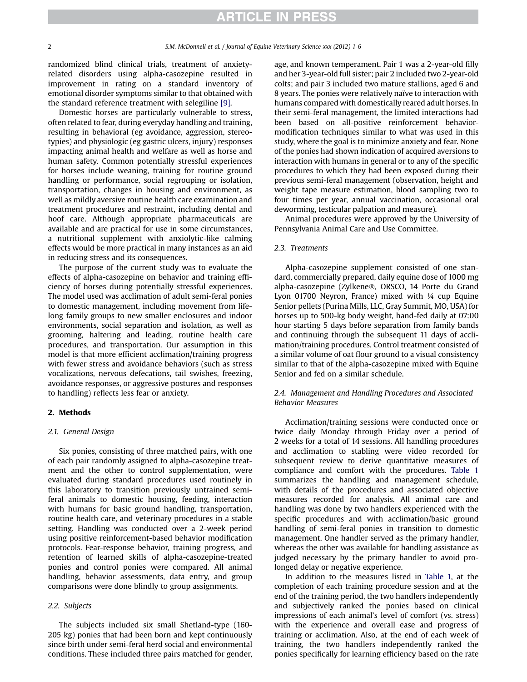## **ARTICLE IN PRESS**

randomized blind clinical trials, treatment of anxietyrelated disorders using alpha-casozepine resulted in improvement in rating on a standard inventory of emotional disorder symptoms similar to that obtained with the standard reference treatment with selegiline [9].

Domestic horses are particularly vulnerable to stress, often related to fear, during everyday handling and training, resulting in behavioral (eg avoidance, aggression, stereotypies) and physiologic (eg gastric ulcers, injury) responses impacting animal health and welfare as well as horse and human safety. Common potentially stressful experiences for horses include weaning, training for routine ground handling or performance, social regrouping or isolation, transportation, changes in housing and environment, as well as mildly aversive routine health care examination and treatment procedures and restraint, including dental and hoof care. Although appropriate pharmaceuticals are available and are practical for use in some circumstances, a nutritional supplement with anxiolytic-like calming effects would be more practical in many instances as an aid in reducing stress and its consequences.

The purpose of the current study was to evaluate the effects of alpha-casozepine on behavior and training efficiency of horses during potentially stressful experiences. The model used was acclimation of adult semi-feral ponies to domestic management, including movement from lifelong family groups to new smaller enclosures and indoor environments, social separation and isolation, as well as grooming, haltering and leading, routine health care procedures, and transportation. Our assumption in this model is that more efficient acclimation/training progress with fewer stress and avoidance behaviors (such as stress vocalizations, nervous defecations, tail swishes, freezing, avoidance responses, or aggressive postures and responses to handling) reflects less fear or anxiety.

#### 2. Methods

#### 2.1. General Design

Six ponies, consisting of three matched pairs, with one of each pair randomly assigned to alpha-casozepine treatment and the other to control supplementation, were evaluated during standard procedures used routinely in this laboratory to transition previously untrained semiferal animals to domestic housing, feeding, interaction with humans for basic ground handling, transportation, routine health care, and veterinary procedures in a stable setting. Handling was conducted over a 2-week period using positive reinforcement-based behavior modification protocols. Fear-response behavior, training progress, and retention of learned skills of alpha-casozepine-treated ponies and control ponies were compared. All animal handling, behavior assessments, data entry, and group comparisons were done blindly to group assignments.

#### 2.2. Subjects

The subjects included six small Shetland-type (160- 205 kg) ponies that had been born and kept continuously since birth under semi-feral herd social and environmental conditions. These included three pairs matched for gender, age, and known temperament. Pair 1 was a 2-year-old filly and her 3-year-old full sister; pair 2 included two 2-year-old colts; and pair 3 included two mature stallions, aged 6 and 8 years. The ponies were relatively naïve to interaction with humans compared with domestically reared adult horses. In their semi-feral management, the limited interactions had been based on all-positive reinforcement behaviormodification techniques similar to what was used in this study, where the goal is to minimize anxiety and fear. None of the ponies had shown indication of acquired aversions to interaction with humans in general or to any of the specific procedures to which they had been exposed during their previous semi-feral management (observation, height and weight tape measure estimation, blood sampling two to four times per year, annual vaccination, occasional oral deworming, testicular palpation and measure).

Animal procedures were approved by the University of Pennsylvania Animal Care and Use Committee.

#### 2.3. Treatments

Alpha-casozepine supplement consisted of one standard, commercially prepared, daily equine dose of 1000 mg alpha-casozepine (Zylkene®, ORSCO, 14 Porte du Grand Lyon 01700 Neyron, France) mixed with 1/4 cup Equine Senior pellets (Purina Mills, LLC, Gray Summit, MO, USA) for horses up to 500-kg body weight, hand-fed daily at 07:00 hour starting 5 days before separation from family bands and continuing through the subsequent 11 days of acclimation/training procedures. Control treatment consisted of a similar volume of oat flour ground to a visual consistency similar to that of the alpha-casozepine mixed with Equine Senior and fed on a similar schedule.

#### 2.4. Management and Handling Procedures and Associated Behavior Measures

Acclimation/training sessions were conducted once or twice daily Monday through Friday over a period of 2 weeks for a total of 14 sessions. All handling procedures and acclimation to stabling were video recorded for subsequent review to derive quantitative measures of compliance and comfort with the procedures. Table 1 summarizes the handling and management schedule, with details of the procedures and associated objective measures recorded for analysis. All animal care and handling was done by two handlers experienced with the specific procedures and with acclimation/basic ground handling of semi-feral ponies in transition to domestic management. One handler served as the primary handler, whereas the other was available for handling assistance as judged necessary by the primary handler to avoid prolonged delay or negative experience.

In addition to the measures listed in Table 1, at the completion of each training procedure session and at the end of the training period, the two handlers independently and subjectively ranked the ponies based on clinical impressions of each animal's level of comfort (vs. stress) with the experience and overall ease and progress of training or acclimation. Also, at the end of each week of training, the two handlers independently ranked the ponies specifically for learning efficiency based on the rate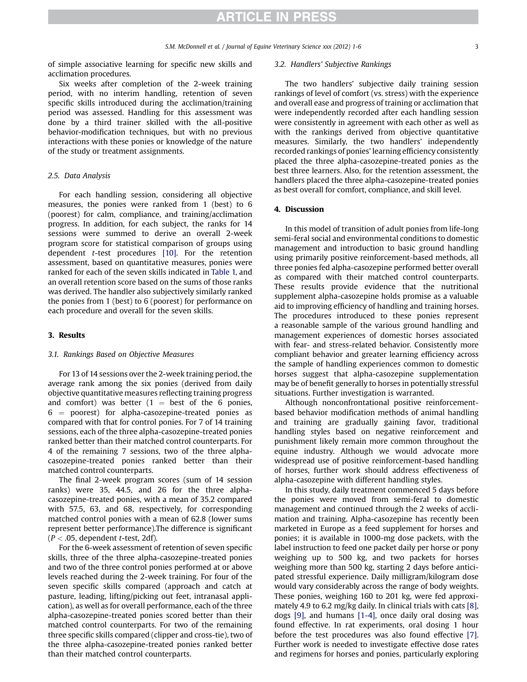of simple associative learning for specific new skills and acclimation procedures.

Six weeks after completion of the 2-week training period, with no interim handling, retention of seven specific skills introduced during the acclimation/training period was assessed. Handling for this assessment was done by a third trainer skilled with the all-positive behavior-modification techniques, but with no previous interactions with these ponies or knowledge of the nature of the study or treatment assignments.

#### 2.5. Data Analysis

For each handling session, considering all objective measures, the ponies were ranked from 1 (best) to 6 (poorest) for calm, compliance, and training/acclimation progress. In addition, for each subject, the ranks for 14 sessions were summed to derive an overall 2-week program score for statistical comparison of groups using dependent t-test procedures [10]. For the retention assessment, based on quantitative measures, ponies were ranked for each of the seven skills indicated in Table 1, and an overall retention score based on the sums of those ranks was derived. The handler also subjectively similarly ranked the ponies from 1 (best) to 6 (poorest) for performance on each procedure and overall for the seven skills.

#### 3. Results

#### 3.1. Rankings Based on Objective Measures

For 13 of 14 sessions over the 2-week training period, the average rank among the six ponies (derived from daily objective quantitative measures reflecting training progress and comfort) was better  $(1 = \text{best of the 6 ponies},$  $6 =$  poorest) for alpha-casozepine-treated ponies as compared with that for control ponies. For 7 of 14 training sessions, each of the three alpha-casozepine-treated ponies ranked better than their matched control counterparts. For 4 of the remaining 7 sessions, two of the three alphacasozepine-treated ponies ranked better than their matched control counterparts.

The final 2-week program scores (sum of 14 session ranks) were 35, 44.5, and 26 for the three alphacasozepine-treated ponies, with a mean of 35.2 compared with 57.5, 63, and 68, respectively, for corresponding matched control ponies with a mean of 62.8 (lower sums represent better performance).The difference is significant  $(P < .05$ , dependent *t*-test, 2df).

For the 6-week assessment of retention of seven specific skills, three of the three alpha-casozepine-treated ponies and two of the three control ponies performed at or above levels reached during the 2-week training. For four of the seven specific skills compared (approach and catch at pasture, leading, lifting/picking out feet, intranasal application), as well as for overall performance, each of the three alpha-casozepine-treated ponies scored better than their matched control counterparts. For two of the remaining three specific skills compared (clipper and cross-tie), two of the three alpha-casozepine-treated ponies ranked better than their matched control counterparts.

#### 3.2. Handlers' Subjective Rankings

The two handlers' subjective daily training session rankings of level of comfort (vs. stress) with the experience and overall ease and progress of training or acclimation that were independently recorded after each handling session were consistently in agreement with each other as well as with the rankings derived from objective quantitative measures. Similarly, the two handlers' independently recorded rankings of ponies' learning efficiency consistently placed the three alpha-casozepine-treated ponies as the best three learners. Also, for the retention assessment, the handlers placed the three alpha-casozepine-treated ponies as best overall for comfort, compliance, and skill level.

#### 4. Discussion

In this model of transition of adult ponies from life-long semi-feral social and environmental conditions to domestic management and introduction to basic ground handling using primarily positive reinforcement-based methods, all three ponies fed alpha-casozepine performed better overall as compared with their matched control counterparts. These results provide evidence that the nutritional supplement alpha-casozepine holds promise as a valuable aid to improving efficiency of handling and training horses. The procedures introduced to these ponies represent a reasonable sample of the various ground handling and management experiences of domestic horses associated with fear- and stress-related behavior. Consistently more compliant behavior and greater learning efficiency across the sample of handling experiences common to domestic horses suggest that alpha-casozepine supplementation may be of benefit generally to horses in potentially stressful situations. Further investigation is warranted.

Although nonconfrontational positive reinforcementbased behavior modification methods of animal handling and training are gradually gaining favor, traditional handling styles based on negative reinforcement and punishment likely remain more common throughout the equine industry. Although we would advocate more widespread use of positive reinforcement-based handling of horses, further work should address effectiveness of alpha-casozepine with different handling styles.

In this study, daily treatment commenced 5 days before the ponies were moved from semi-feral to domestic management and continued through the 2 weeks of acclimation and training. Alpha-casozepine has recently been marketed in Europe as a feed supplement for horses and ponies; it is available in 1000-mg dose packets, with the label instruction to feed one packet daily per horse or pony weighing up to 500 kg, and two packets for horses weighing more than 500 kg, starting 2 days before anticipated stressful experience. Daily milligram/kilogram dose would vary considerably across the range of body weights. These ponies, weighing 160 to 201 kg, were fed approximately 4.9 to 6.2 mg/kg daily. In clinical trials with cats [8], dogs [9], and humans [1-4], once daily oral dosing was found effective. In rat experiments, oral dosing 1 hour before the test procedures was also found effective [7]. Further work is needed to investigate effective dose rates and regimens for horses and ponies, particularly exploring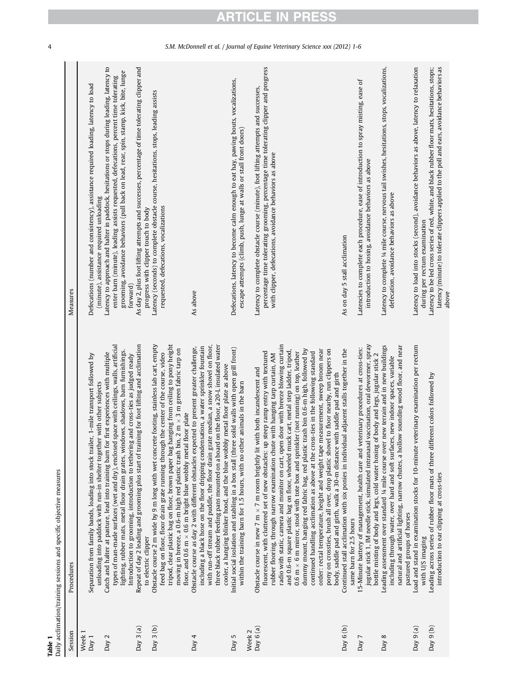| i chemi                |
|------------------------|
| Ĭ<br>j                 |
| היוחוחת בפנינוחי החל   |
|                        |
| ۱<br>$2.7 + 1.7 + 1.7$ |
|                        |
|                        |

|                                | Daily acclimation/training sessions and specific objective measures                                                                                                                                                                                                                                                                                                                                                                                     |                                                                                                                                                                                                                                                                                          |
|--------------------------------|---------------------------------------------------------------------------------------------------------------------------------------------------------------------------------------------------------------------------------------------------------------------------------------------------------------------------------------------------------------------------------------------------------------------------------------------------------|------------------------------------------------------------------------------------------------------------------------------------------------------------------------------------------------------------------------------------------------------------------------------------------|
| Session                        | Procedures                                                                                                                                                                                                                                                                                                                                                                                                                                              | Measures                                                                                                                                                                                                                                                                                 |
| Week <sub>1</sub><br>Day 1     | Separation from family bands, loading into stock trailer, 1-mile transport followed by<br>unloading into paddock with run-in shelter together with other subjects                                                                                                                                                                                                                                                                                       | Defecations (number and consistency), assistance required loading, latency to load<br>(minute), assistance required unloading                                                                                                                                                            |
| Day 2                          | types of man-made surfaces (wet and dry), enclosed space with ceilings, walls, artificial<br>lighting, rubber mats, metal floor drain grates, windows, shadows, barn furnishings.<br>Catch and halter at pasture, lead into training barn for first experiences with multiple                                                                                                                                                                           | Latency to approach and halter in paddock, hesitations or stops during leading, latency to<br>grooming, avoidance behaviors (pull back on lead, rear, spin, stamp, kick, bite, lunge<br>enter barn (minute), leading assists requested, defecations, percent time tolerating<br>forward) |
| Day $3(a)$                     | Repeat of day 2 leading and grooming plus start of training for foot lifting and acclimation<br>Introduction to grooming, introduction to tethering and cross-ties as judged ready<br>to electric clipper                                                                                                                                                                                                                                               | As day 2, plus foot lifting attempts and successes, percentage of time tolerating clipper and<br>progress with clipper touch to body                                                                                                                                                     |
| Day $3(b)$                     | Obstacle course 2 m wide by 9 m long with wet concrete footing, stainless lab cart, empty<br>tripod, clear plastic bag on floor, brown paper bag hanging from ceiling to pony height<br>moving in breeze, a 0.6-m high red plastic trash bin, 2 m × 3 m green fabric tarp on<br>feed bag on floor, floor drain grate running through the center of the course, video<br>floor, and 0.6 $m \times 0.6$ m bright blue wobbly metal floor plate            | Latency (seconds) to complete obstacle course, hesitations, stops, leading assists<br>requested, defecations, vocalizations                                                                                                                                                              |
| Day 4                          | with run-off stream and puddle, the floor drain grate median, a snow shovel on floor,<br>three black rubber feeding pans mounted on a board on the floor, a 20-L insulated water<br>Obstacle course as day 2 with different obstacles expected to present greater challenge,<br>including a black hose on the floor dripping condensation, a water sprinkler fountain<br>cooler, a hanging blinker hood, and the blue wobbly metal floor plate as above | As above                                                                                                                                                                                                                                                                                 |
| Day 5                          | Initial social isolation and stabling in a box stall (three solid walls with open grill front)<br>within the training barn for 1.5 hours, with no other animals in the barn                                                                                                                                                                                                                                                                             | Defecations, latency to become calm enough to eat hay, pawing bouts, vocalizations,<br>escape attempts (climb, push, lunge at walls or stall front doors)                                                                                                                                |
| Day 6 (a)<br>Week <sub>2</sub> | radio with static, camera and monitor on cart, open door with breeze blowing curtain<br>muck cart, metal step ladder, tripod,<br>fluorescent, with cluttered set of new obstacles: up steep ramp entry with textured<br>rubber flooring, through narrow examination chute with hanging tarp curtain, AM<br>it with both incandescent and<br>Obstacle course in new 7 m $\times$ 7 m room brightly<br>and 0.6-m square plastic bag on floor, wheeled     | percentage time tolerating grooming, percentage time tolerating clipper and progress<br>Latency to complete obstacle course (minute), foot lifting attempts and successes,<br>with clipper, defecations, avoidance behaviors as above                                                    |

As on day 5 stall acclimation As on day 5 stall acclimation

Day 6 (b) Continued stall acclimation with six ponies in individual adjacent stalls together in the

pony on crossties, brush all over, drop plastic shovel to floor nearby, run clippers on order: rectal temperature, height and weight tape measurement, sweep broom near

body, saddle pad and girth, walk a 30-m distance with saddle pad and girth

Day 7 15-Minute battery of management, health care and veterinary procedures at cross-ties:

15-Minute battery of management, health care and veterinary procedures at cross-ties: Continued stall acclimation with six ponies in individual adjacent stalls together in the

jugular stick 1, IM needle stick, simulated intranasal vaccination, oral dewormer, spray bottle misting of body and legs, cold water hosing of body and legs, jugular stick 2

bottle misting of body and legs, cold water hosing of body and legs, jugular stick 2 including through water, over hard and soft surfaces, new indoor spaces, variable

jugular stick 1, IM needle stick, simulated intranasal vaccination, oral dewormer, spray

Day 8 Leading assessment over standard ¼ mile course over new terrain and in new buildings

eading assessment over standard 1/4 mile course over new terrain and in new buildings. natural and artificial lighting, narrow chutes, a hollow sounding wood floor, and near

including through water, over hard and soft surfaces, new indoor spaces, variable natural and artificial lighting, narrow chutes, a hollow sounding wood floor, and near

pastured groups of horses

pastured groups of horses

with U/S imaging

with U/S imaging

Day 9 (a) Day 9 (b)

Day 9 (b) Leading across series of rubber floor mats of three different colors followed by

eading across series of rubber floor mats of three different colors followed by

introduction to ear clipping at cross-ties

introduction to ear clipping at cross-ties

Day 9 (a) Load and stand in examination stocks for 10-minute veterinary examination per rectum

oad and stand in examination stocks for 10-minute veterinary examination per rectum

same barn for 2.5 hours

same barn for 2.5 hours

Day 6 (b)

 $Day 7$ 

Day 8

0.6  $m \times 6$  m mirror, stool with tote box and sprinkler (not running) on top, leather  $\times$  6 m mirror, stool with tote box and sprinkler (not running) on top, leather dummy mount, hanging red fabric bag, red plastic trash bin 0.6-m high, followed by continued handling acclimation as above at the cross-ties in the following standard order: rectal temperature, height and weight tape measurement, sweep broom near pony on crossties, brush all over, drop plastic shovel to floor nearby, run clippers on body, saddle pad and girth, walk a 30-m distance with saddle pad and girth

dummy mount, hanging red fabric bag, red plastic trash bin 0.6-m high, followed by

continued handling acclimation as above at the cross-ties in the following standard

Latencies to complete each procedure, ease of introduction to spray misting, ease of Latencies to complete each procedure, ease of introduction to spray misting, ease of introduction to hosing, avoidance behaviors as above introduction to hosing, avoidance behaviors as above

Latency to complete 14 mile course, nervous tail swishes, hesitations, stops, vocalizations, Latency to complete ¼ mile course, nervous tail swishes, hesitations, stops, vocalizations, defecation, avoidance behaviors as above defecation, avoidance behaviors as above

Latency to load into stocks (second), avoidance behaviors as above, latency to relaxation Latency to load into stocks (second), avoidance behaviors as above, latency to relaxation during per rectum examination during per rectum examination

Latency to be led cross series of red, white, and black rubber floor mats, hesitations, stops; latency (minute) to tolerate clippers applied to the poll and ears, avoidance behaviors as Latency to be led cross series of red, white, and black rubber floor mats, hesitations, stops; latency (minute) to tolerate clippers applied to the poll and ears, avoidance behaviors as above

#### ARTI ICLE IN Ð RES

4 S.M. McDonnell et al. / Journal of Equine Veterinary Science xxx (2012) 1-6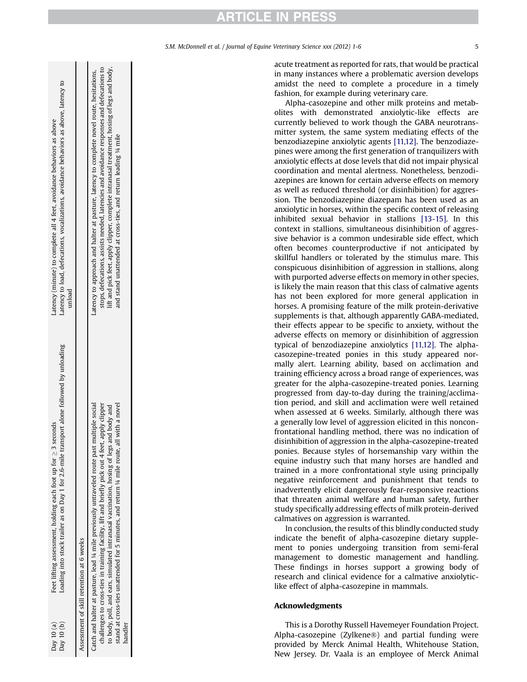| Day $10(b)$<br>Day 10 (a) | Loading into stock trailer as on Day 1 for 2.6-mile transport alone followed by unloading<br>Feet lifting assessment, holding each foot up for $\geq 3$ seconds                                                                                                                                                                                                                       | atency to load, defecations, vocalizations, avoidance behaviors as above, latency to<br>atency (minute) to complete all 4 feet, avoidance behaviors as above<br>unload                                                                                                                                                                                |
|---------------------------|---------------------------------------------------------------------------------------------------------------------------------------------------------------------------------------------------------------------------------------------------------------------------------------------------------------------------------------------------------------------------------------|-------------------------------------------------------------------------------------------------------------------------------------------------------------------------------------------------------------------------------------------------------------------------------------------------------------------------------------------------------|
|                           | Assessment of skill retention at 6 weeks                                                                                                                                                                                                                                                                                                                                              |                                                                                                                                                                                                                                                                                                                                                       |
|                           | Catch and halter at pasture, lead ¼ mile previously untraveled route past multiple social<br>feet, apply clipper<br>stand at cross-ties unattended for 5 minutes, and return 1/4 mile route, all with a novel<br>to body, poll, and ears, simulated intranasal vaccination, hosing of legs and body and<br>challenges to cross-ties in training facility, lift and briefly pick out 4 | stops, defecations, assists needed, latencies and avoidance responses and defecations to<br>lift and pick feet, apply clipper, complete intranasal treatment, hosing of legs and body,<br>Latency to approach and halter at pasture, latency to complete novel route, hesitations,<br>and stand unattended at cross-ties, and return leading 1/4 mile |

 $\sim$  1  $\sim$  1

handler

å å

acute treatment as reported for rats, that would be practical in many instances where a problematic aversion develops amidst the need to complete a procedure in a timely fashion, for example during veterinary care.

Alpha-casozepine and other milk proteins and metabolites with demonstrated anxiolytic-like effects are currently believed to work though the GABA neurotransmitter system, the same system mediating effects of the benzodiazepine anxiolytic agents [11,12]. The benzodiazepines were among the first generation of tranquilizers with anxiolytic effects at dose levels that did not impair physical coordination and mental alertness. Nonetheless, benzodiazepines are known for certain adverse effects on memory as well as reduced threshold (or disinhibition) for aggression. The benzodiazepine diazepam has been used as an anxiolytic in horses, within the specific context of releasing inhibited sexual behavior in stallions [13-15]. In this context in stallions, simultaneous disinhibition of aggressive behavior is a common undesirable side effect, which often becomes counterproductive if not anticipated by skillful handlers or tolerated by the stimulus mare. This conspicuous disinhibition of aggression in stallions, along with purported adverse effects on memory in other species, is likely the main reason that this class of calmative agents has not been explored for more general application in horses. A promising feature of the milk protein-derivative supplements is that, although apparently GABA-mediated, their effects appear to be specific to anxiety, without the adverse effects on memory or disinhibition of aggression typical of benzodiazepine anxiolytics [11,12]. The alphacasozepine-treated ponies in this study appeared normally alert. Learning ability, based on acclimation and training efficiency across a broad range of experiences, was greater for the alpha-casozepine-treated ponies. Learning progressed from day-to-day during the training/acclimation period, and skill and acclimation were well retained when assessed at 6 weeks. Similarly, although there was a generally low level of aggression elicited in this nonconfrontational handling method, there was no indication of disinhibition of aggression in the alpha-casozepine-treated ponies. Because styles of horsemanship vary within the equine industry such that many horses are handled and trained in a more confrontational style using principally negative reinforcement and punishment that tends to inadvertently elicit dangerously fear-responsive reactions that threaten animal welfare and human safety, further study specifically addressing effects of milk protein-derived calmatives on aggression is warranted.

In conclusion, the results of this blindly conducted study indicate the benefit of alpha-casozepine dietary supplement to ponies undergoing transition from semi-feral management to domestic management and handling. These findings in horses support a growing body of research and clinical evidence for a calmative anxiolyticlike effect of alpha-casozepine in mammals.

#### Acknowledgments

This is a Dorothy Russell Havemeyer Foundation Project. Alpha-casozepine (Zylkene®) and partial funding were provided by Merck Animal Health, Whitehouse Station, New Jersey. Dr. Vaala is an employee of Merck Animal